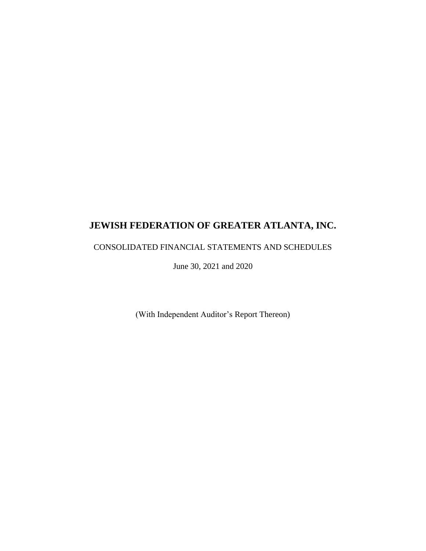## CONSOLIDATED FINANCIAL STATEMENTS AND SCHEDULES

June 30, 2021 and 2020

(With Independent Auditor's Report Thereon)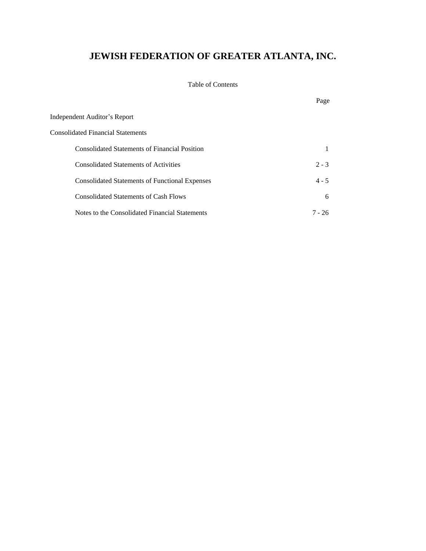### Table of Contents

|                                                       | Page    |
|-------------------------------------------------------|---------|
| Independent Auditor's Report                          |         |
| <b>Consolidated Financial Statements</b>              |         |
| <b>Consolidated Statements of Financial Position</b>  |         |
| <b>Consolidated Statements of Activities</b>          | $2 - 3$ |
| <b>Consolidated Statements of Functional Expenses</b> | $4 - 5$ |
| <b>Consolidated Statements of Cash Flows</b>          | 6       |
| Notes to the Consolidated Financial Statements        | 7 - 26  |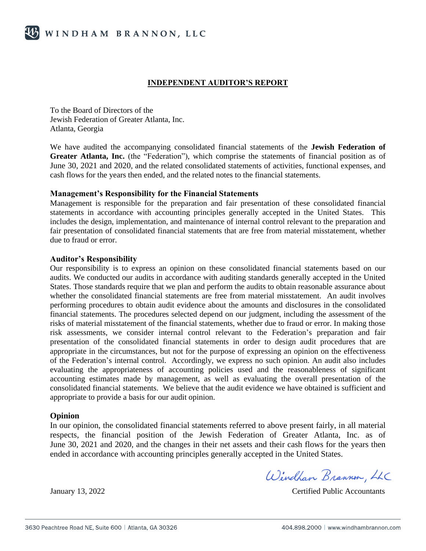#### **INDEPENDENT AUDITOR'S REPORT**

To the Board of Directors of the Jewish Federation of Greater Atlanta, Inc. Atlanta, Georgia

We have audited the accompanying consolidated financial statements of the **Jewish Federation of Greater Atlanta, Inc.** (the "Federation"), which comprise the statements of financial position as of June 30, 2021 and 2020, and the related consolidated statements of activities, functional expenses, and cash flows for the years then ended, and the related notes to the financial statements.

#### **Management's Responsibility for the Financial Statements**

Management is responsible for the preparation and fair presentation of these consolidated financial statements in accordance with accounting principles generally accepted in the United States. This includes the design, implementation, and maintenance of internal control relevant to the preparation and fair presentation of consolidated financial statements that are free from material misstatement, whether due to fraud or error.

#### **Auditor's Responsibility**

Our responsibility is to express an opinion on these consolidated financial statements based on our audits. We conducted our audits in accordance with auditing standards generally accepted in the United States. Those standards require that we plan and perform the audits to obtain reasonable assurance about whether the consolidated financial statements are free from material misstatement. An audit involves performing procedures to obtain audit evidence about the amounts and disclosures in the consolidated financial statements. The procedures selected depend on our judgment, including the assessment of the risks of material misstatement of the financial statements, whether due to fraud or error. In making those risk assessments, we consider internal control relevant to the Federation's preparation and fair presentation of the consolidated financial statements in order to design audit procedures that are appropriate in the circumstances, but not for the purpose of expressing an opinion on the effectiveness of the Federation's internal control. Accordingly, we express no such opinion. An audit also includes evaluating the appropriateness of accounting policies used and the reasonableness of significant accounting estimates made by management, as well as evaluating the overall presentation of the consolidated financial statements. We believe that the audit evidence we have obtained is sufficient and appropriate to provide a basis for our audit opinion.

#### **Opinion**

In our opinion, the consolidated financial statements referred to above present fairly, in all material respects, the financial position of the Jewish Federation of Greater Atlanta, Inc. as of June 30, 2021 and 2020*,* and the changes in their net assets and their cash flows for the years then ended in accordance with accounting principles generally accepted in the United States.

Windham Brannon, LLC

January 13, 2022 Certified Public Accountants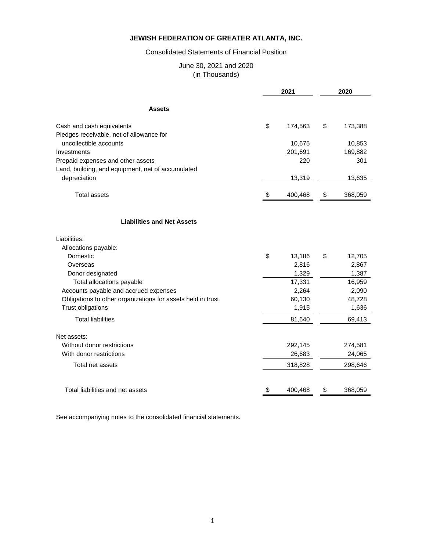#### Consolidated Statements of Financial Position

#### June 30, 2021 and 2020 (in Thousands)

|                                                             | 2021 |         |    | 2020    |  |  |
|-------------------------------------------------------------|------|---------|----|---------|--|--|
| <b>Assets</b>                                               |      |         |    |         |  |  |
| Cash and cash equivalents                                   | \$   | 174,563 | \$ | 173,388 |  |  |
| Pledges receivable, net of allowance for                    |      |         |    |         |  |  |
| uncollectible accounts                                      |      | 10,675  |    | 10,853  |  |  |
| Investments                                                 |      | 201,691 |    | 169,882 |  |  |
| Prepaid expenses and other assets                           |      | 220     |    | 301     |  |  |
| Land, building, and equipment, net of accumulated           |      |         |    |         |  |  |
| depreciation                                                |      | 13,319  |    | 13,635  |  |  |
| Total assets                                                | S    | 400,468 | \$ | 368,059 |  |  |
| <b>Liabilities and Net Assets</b>                           |      |         |    |         |  |  |
| Liabilities:                                                |      |         |    |         |  |  |
| Allocations payable:                                        |      |         |    |         |  |  |
| Domestic                                                    | \$   | 13,186  | \$ | 12,705  |  |  |
| Overseas                                                    |      | 2,816   |    | 2,867   |  |  |
| Donor designated                                            |      | 1,329   |    | 1,387   |  |  |
| Total allocations payable                                   |      | 17,331  |    | 16,959  |  |  |
| Accounts payable and accrued expenses                       |      | 2,264   |    | 2,090   |  |  |
| Obligations to other organizations for assets held in trust |      | 60,130  |    | 48,728  |  |  |
| <b>Trust obligations</b>                                    |      | 1,915   |    | 1,636   |  |  |
| <b>Total liabilities</b>                                    |      | 81,640  |    | 69,413  |  |  |
| Net assets:                                                 |      |         |    |         |  |  |
| Without donor restrictions                                  |      | 292,145 |    | 274,581 |  |  |
| With donor restrictions                                     |      | 26,683  |    | 24,065  |  |  |
| Total net assets                                            |      | 318,828 |    | 298,646 |  |  |
|                                                             |      |         |    |         |  |  |
| Total liabilities and net assets                            | \$   | 400,468 | \$ | 368,059 |  |  |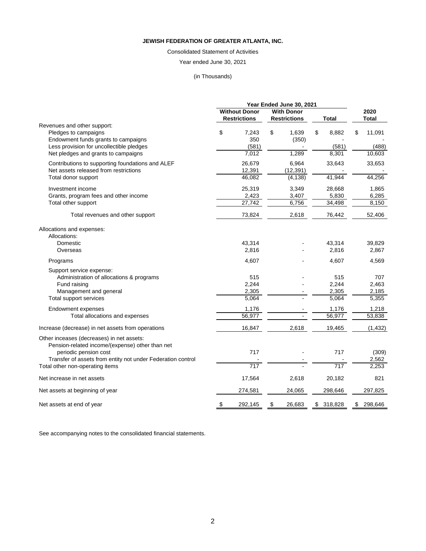## Consolidated Statement of Activities

## Year ended June 30, 2021

## (in Thousands)

|                                                                                                                                                                                      |                                      | Year Ended June 30, 2021       |               |                                |                                 |
|--------------------------------------------------------------------------------------------------------------------------------------------------------------------------------------|--------------------------------------|--------------------------------|---------------|--------------------------------|---------------------------------|
|                                                                                                                                                                                      | <b>Without Donor</b>                 | <b>With Donor</b>              |               |                                | 2020                            |
|                                                                                                                                                                                      | <b>Restrictions</b>                  | <b>Restrictions</b>            |               | <b>Total</b>                   | <b>Total</b>                    |
| Revenues and other support:<br>Pledges to campaigns<br>Endowment funds grants to campaigns<br>Less provision for uncollectible pledges<br>Net pledges and grants to campaigns        | \$<br>7,243<br>350<br>(581)<br>7,012 | \$<br>1,639<br>(350)<br>1,289  | \$            | 8,882<br>(581)<br>8,301        | \$<br>11,091<br>(488)<br>10,603 |
| Contributions to supporting foundations and ALEF<br>Net assets released from restrictions<br>Total donor support                                                                     | 26,679<br>12,391<br>46,082           | 6,964<br>(12, 391)<br>(4, 138) |               | 33,643<br>41,944               | 33,653<br>44,256                |
| Investment income<br>Grants, program fees and other income<br>Total other support                                                                                                    | 25,319<br>2,423<br>27,742            | 3,349<br>3,407<br>6,756        |               | 28,668<br>5,830<br>34,498      | 1,865<br>6,285<br>8,150         |
| Total revenues and other support                                                                                                                                                     | 73,824                               | 2,618                          |               | 76,442                         | 52,406                          |
| Allocations and expenses:<br>Allocations:<br>Domestic<br>Overseas                                                                                                                    | 43,314<br>2,816                      |                                |               | 43,314<br>2,816                | 39,829<br>2,867                 |
| Programs                                                                                                                                                                             | 4,607                                |                                |               | 4,607                          | 4,569                           |
| Support service expense:<br>Administration of allocations & programs<br>Fund raising<br>Management and general<br>Total support services                                             | 515<br>2,244<br>2,305<br>5,064       |                                |               | 515<br>2,244<br>2,305<br>5,064 | 707<br>2,463<br>2,185<br>5,355  |
| Endowment expenses                                                                                                                                                                   | 1,176                                |                                |               | 1,176                          | 1,218                           |
| Total allocations and expenses                                                                                                                                                       | 56,977                               |                                |               | 56,977                         | 53,838                          |
| Increase (decrease) in net assets from operations                                                                                                                                    | 16,847                               | 2,618                          |               | 19,465                         | (1, 432)                        |
| Other inceases (decreases) in net assets:<br>Pension-related income/(expense) other than net<br>periodic pension cost<br>Transfer of assets from entity not under Federation control | 717                                  |                                |               | 717                            | (309)<br>2,562                  |
| Total other non-operating items                                                                                                                                                      | 717                                  |                                |               | 717                            | 2,253                           |
| Net increase in net assets                                                                                                                                                           | 17,564                               | 2,618                          |               | 20,182                         | 821                             |
| Net assets at beginning of year                                                                                                                                                      | 274,581                              | 24,065                         |               | 298,646                        | 297,825                         |
| Net assets at end of year                                                                                                                                                            | \$<br>292,145                        | \$<br>26,683                   | $\mathsf{\$}$ | 318,828                        | \$<br>298,646                   |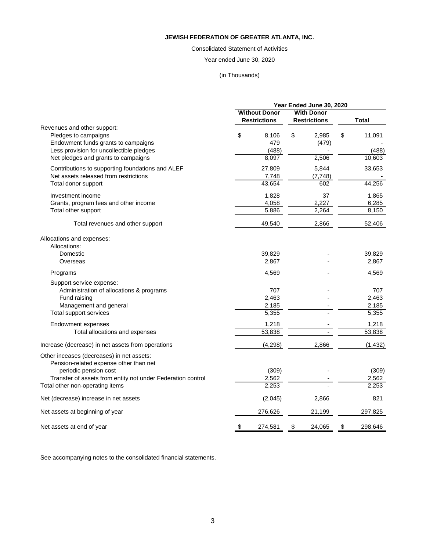### Consolidated Statement of Activities

Year ended June 30, 2020

## (in Thousands)

|                                                                                                                                          |    | Year Ended June 30, 2020       |                          |    |                                |
|------------------------------------------------------------------------------------------------------------------------------------------|----|--------------------------------|--------------------------|----|--------------------------------|
|                                                                                                                                          |    | <b>Without Donor</b>           | <b>With Donor</b>        |    |                                |
|                                                                                                                                          |    | <b>Restrictions</b>            | <b>Restrictions</b>      |    | <b>Total</b>                   |
| Revenues and other support:<br>Pledges to campaigns<br>Endowment funds grants to campaigns<br>Less provision for uncollectible pledges   | \$ | 8,106<br>479<br>(488)          | \$<br>2,985<br>(479)     | \$ | 11,091<br>(488)                |
| Net pledges and grants to campaigns                                                                                                      |    | 8,097                          | 2,506                    |    | 10,603                         |
| Contributions to supporting foundations and ALEF<br>Net assets released from restrictions<br>Total donor support                         |    | 27,809<br>7,748<br>43,654      | 5,844<br>(7, 748)<br>602 |    | 33,653<br>44,256               |
|                                                                                                                                          |    |                                |                          |    |                                |
| Investment income<br>Grants, program fees and other income<br>Total other support                                                        |    | 1,828<br>4,058<br>5,886        | 37<br>2,227<br>2,264     |    | 1,865<br>6,285<br>8,150        |
| Total revenues and other support                                                                                                         |    | 49,540                         | 2,866                    |    | 52,406                         |
| Allocations and expenses:<br>Allocations:<br>Domestic<br>Overseas                                                                        |    | 39,829<br>2,867                |                          |    | 39,829<br>2,867                |
| Programs                                                                                                                                 |    | 4,569                          |                          |    | 4,569                          |
| Support service expense:<br>Administration of allocations & programs<br>Fund raising<br>Management and general<br>Total support services |    | 707<br>2,463<br>2,185<br>5,355 |                          |    | 707<br>2,463<br>2,185<br>5,355 |
| Endowment expenses                                                                                                                       |    | 1,218                          |                          |    | 1,218                          |
| Total allocations and expenses                                                                                                           |    | 53,838                         |                          |    | 53,838                         |
| Increase (decrease) in net assets from operations                                                                                        |    | (4, 298)                       | 2,866                    |    | (1, 432)                       |
| Other inceases (decreases) in net assets:<br>Pension-related expense other than net<br>periodic pension cost                             |    | (309)                          |                          |    | (309)                          |
| Transfer of assets from entity not under Federation control                                                                              |    | 2,562                          |                          |    | 2,562                          |
| Total other non-operating items                                                                                                          |    | 2,253                          |                          |    | 2,253                          |
| Net (decrease) increase in net assets                                                                                                    |    | (2,045)                        | 2,866                    |    | 821                            |
| Net assets at beginning of year                                                                                                          |    | 276,626                        | 21,199                   |    | 297,825                        |
| Net assets at end of year                                                                                                                | \$ | 274,581                        | \$<br>24,065             | \$ | 298,646                        |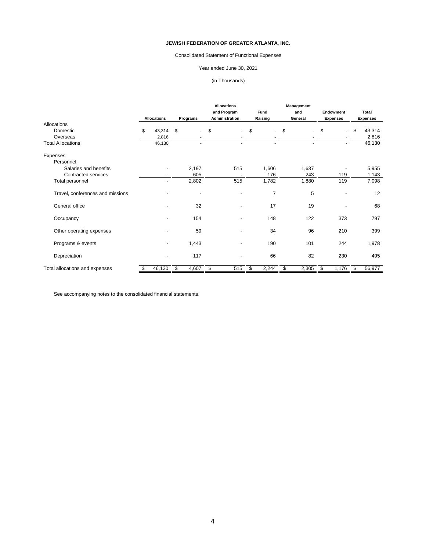## Consolidated Statement of Functional Expenses

## Year ended June 30, 2021

## (in Thousands)

|                                  |    |                    |                         |          | <b>Allocations</b>             |                                  |             | Management     |                                   |                  |        |              |
|----------------------------------|----|--------------------|-------------------------|----------|--------------------------------|----------------------------------|-------------|----------------|-----------------------------------|------------------|--------|--------------|
|                                  |    | <b>Allocations</b> |                         |          |                                | and Program                      | <b>Fund</b> |                | and                               | <b>Endowment</b> |        | <b>Total</b> |
|                                  |    |                    |                         | Programs | Administration                 | Raising                          |             | General        | <b>Expenses</b>                   | <b>Expenses</b>  |        |              |
| Allocations                      |    |                    |                         |          |                                |                                  |             |                |                                   |                  |        |              |
| Domestic                         | \$ | 43,314             | \$                      | $\sim$   | \$<br>$\overline{\phantom{0}}$ | \$<br>$\blacksquare$             | \$          | $\blacksquare$ | $\sqrt[6]{\frac{1}{2}}$<br>$\sim$ | \$               | 43,314 |              |
| Overseas                         |    | 2,816              |                         |          |                                |                                  |             | ٠              | $\blacksquare$                    |                  | 2,816  |              |
| <b>Total Allocations</b>         |    | 46,130             |                         |          |                                |                                  |             | $\overline{a}$ | $\blacksquare$                    |                  | 46,130 |              |
| Expenses                         |    |                    |                         |          |                                |                                  |             |                |                                   |                  |        |              |
| Personnel:                       |    |                    |                         |          |                                |                                  |             |                |                                   |                  |        |              |
| Salaries and benefits            |    | ۰                  |                         | 2,197    | 515                            | 1,606                            |             | 1,637          |                                   |                  | 5,955  |              |
| Contracted services              |    |                    |                         | 605      |                                | 176                              |             | 243            | 119                               |                  | 1,143  |              |
| Total personnel                  |    | ÷.                 |                         | 2,802    | 515                            | 1,782                            |             | 1,880          | 119                               |                  | 7,098  |              |
| Travel, conferences and missions |    |                    |                         | ٠        |                                | $\overline{7}$                   |             | 5              |                                   |                  | 12     |              |
| General office                   |    |                    |                         | 32       |                                | 17                               |             | 19             |                                   |                  | 68     |              |
| Occupancy                        |    |                    |                         | 154      |                                | 148                              |             | 122            | 373                               |                  | 797    |              |
| Other operating expenses         |    |                    |                         | 59       |                                | 34                               |             | 96             | 210                               |                  | 399    |              |
| Programs & events                |    | $\blacksquare$     |                         | 1,443    |                                | 190                              |             | 101            | 244                               |                  | 1,978  |              |
| Depreciation                     |    | ۰                  |                         | 117      |                                | 66                               |             | 82             | 230                               |                  | 495    |              |
| Total allocations and expenses   | \$ | 46,130             | $\overline{\mathbf{e}}$ | 4,607    | 515<br>\$                      | 2,244<br>$\overline{\mathbf{e}}$ | \$          | 2,305          | $\overline{\mathcal{S}}$<br>1,176 | \$               | 56,977 |              |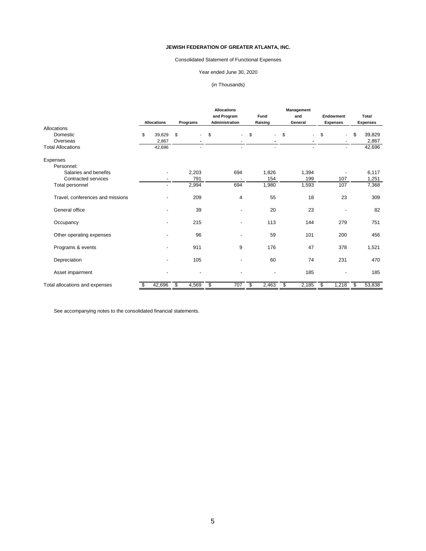## Consolidated Statement of Functional Expenses

## Year ended June 30, 2020

## (in Thousands)

|                                  |    |                    |               |          | <b>Allocations</b>       |                | <b>Management</b>    |                 |                                     |
|----------------------------------|----|--------------------|---------------|----------|--------------------------|----------------|----------------------|-----------------|-------------------------------------|
|                                  |    |                    |               |          | and Program              | <b>Fund</b>    | and                  | Endowment       | <b>Total</b>                        |
|                                  |    | <b>Allocations</b> |               | Programs | <b>Administration</b>    | Raising        | General              | <b>Expenses</b> | <b>Expenses</b>                     |
| Allocations                      |    |                    |               |          |                          |                |                      |                 |                                     |
| Domestic                         | \$ | 39,829             | \$            | $\sim$   | \$<br>$\sim$             | \$<br>$\sim$   | \$<br>$\blacksquare$ | \$<br>$\sim$    | $\boldsymbol{\mathsf{s}}$<br>39,829 |
| Overseas                         |    | 2,867              |               |          |                          |                | $\blacksquare$       |                 | 2,867                               |
| <b>Total Allocations</b>         |    | 42,696             |               | $\sim$   | $\overline{\phantom{0}}$ | $\overline{a}$ | $\mathbf{r}$         | $\sim$          | 42,696                              |
| Expenses                         |    |                    |               |          |                          |                |                      |                 |                                     |
| Personnel:                       |    |                    |               |          |                          |                |                      |                 |                                     |
| Salaries and benefits            |    | $\blacksquare$     |               | 2,203    | 694                      | 1,826          | 1,394                |                 | 6,117                               |
| Contracted services              |    |                    |               | 791      |                          | 154            | 199                  | 107             | 1,251                               |
| Total personnel                  |    | $\blacksquare$     |               | 2,994    | 694                      | 1,980          | 1,593                | 107             | 7,368                               |
| Travel, conferences and missions |    |                    |               | 209      | 4                        | 55             | 18                   | 23              | 309                                 |
| General office                   |    | ۰                  |               | 39       | ۰                        | 20             | 23                   |                 | 82                                  |
| Occupancy                        |    |                    |               | 215      |                          | 113            | 144                  | 279             | 751                                 |
| Other operating expenses         |    |                    |               | 96       | ۰                        | 59             | 101                  | 200             | 456                                 |
| Programs & events                |    |                    |               | 911      | $9$                      | 176            | 47                   | 378             | 1,521                               |
| Depreciation                     |    |                    |               | 105      |                          | 60             | 74                   | 231             | 470                                 |
| Asset impairment                 |    |                    |               | ٠        |                          | $\blacksquare$ | 185                  |                 | 185                                 |
| Total allocations and expenses   | \$ | 42,696             | $\frac{1}{2}$ | 4,569    | \$<br>707                | \$<br>2,463    | \$<br>2,185          | \$<br>1,218     | \$<br>53,838                        |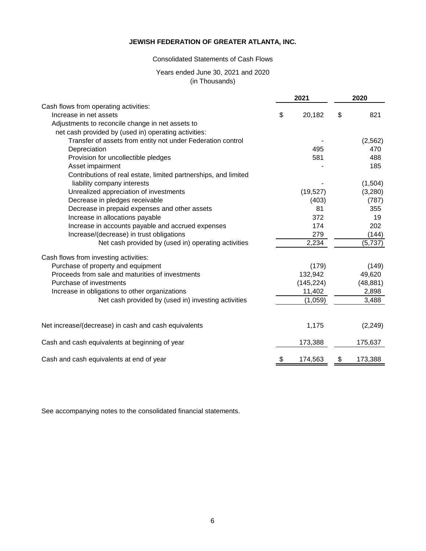### Consolidated Statements of Cash Flows

### Years ended June 30, 2021 and 2020 (in Thousands)

|                                                                 | 2021          | 2020          |
|-----------------------------------------------------------------|---------------|---------------|
| Cash flows from operating activities:                           |               |               |
| Increase in net assets                                          | \$<br>20,182  | \$<br>821     |
| Adjustments to reconcile change in net assets to                |               |               |
| net cash provided by (used in) operating activities:            |               |               |
| Transfer of assets from entity not under Federation control     |               | (2, 562)      |
| Depreciation                                                    | 495           | 470           |
| Provision for uncollectible pledges                             | 581           | 488           |
| Asset impairment                                                |               | 185           |
| Contributions of real estate, limited partnerships, and limited |               |               |
| liability company interests                                     |               | (1,504)       |
| Unrealized appreciation of investments                          | (19, 527)     | (3,280)       |
| Decrease in pledges receivable                                  | (403)         | (787)         |
| Decrease in prepaid expenses and other assets                   | 81            | 355           |
| Increase in allocations payable                                 | 372           | 19            |
| Increase in accounts payable and accrued expenses               | 174           | 202           |
| Increase/(decrease) in trust obligations                        | 279           | (144)         |
| Net cash provided by (used in) operating activities             | 2,234         | (5,737)       |
| Cash flows from investing activities:                           |               |               |
| Purchase of property and equipment                              | (179)         | (149)         |
| Proceeds from sale and maturities of investments                | 132,942       | 49,620        |
| Purchase of investments                                         | (145, 224)    | (48, 881)     |
| Increase in obligations to other organizations                  | 11,402        | 2,898         |
| Net cash provided by (used in) investing activities             | (1,059)       | 3,488         |
|                                                                 |               |               |
| Net increase/(decrease) in cash and cash equivalents            | 1,175         | (2, 249)      |
| Cash and cash equivalents at beginning of year                  | 173,388       | 175,637       |
| Cash and cash equivalents at end of year                        | \$<br>174,563 | \$<br>173,388 |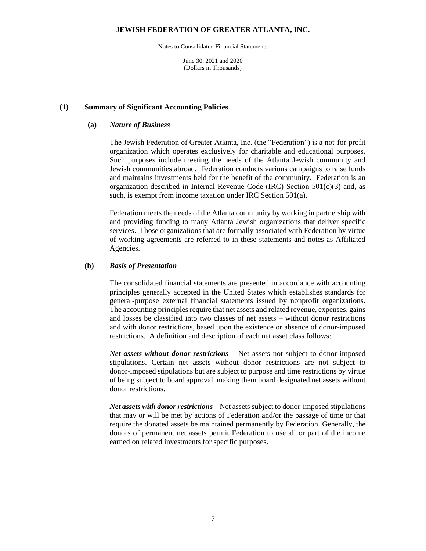Notes to Consolidated Financial Statements

June 30, 2021 and 2020 (Dollars in Thousands)

#### **(1) Summary of Significant Accounting Policies**

#### **(a)** *Nature of Business*

The Jewish Federation of Greater Atlanta, Inc. (the "Federation") is a not-for-profit organization which operates exclusively for charitable and educational purposes. Such purposes include meeting the needs of the Atlanta Jewish community and Jewish communities abroad. Federation conducts various campaigns to raise funds and maintains investments held for the benefit of the community. Federation is an organization described in Internal Revenue Code (IRC) Section  $501(c)(3)$  and, as such, is exempt from income taxation under IRC Section 501(a).

Federation meets the needs of the Atlanta community by working in partnership with and providing funding to many Atlanta Jewish organizations that deliver specific services. Those organizations that are formally associated with Federation by virtue of working agreements are referred to in these statements and notes as Affiliated Agencies.

#### **(b)** *Basis of Presentation*

The consolidated financial statements are presented in accordance with accounting principles generally accepted in the United States which establishes standards for general-purpose external financial statements issued by nonprofit organizations. The accounting principles require that net assets and related revenue, expenses, gains and losses be classified into two classes of net assets – without donor restrictions and with donor restrictions, based upon the existence or absence of donor-imposed restrictions. A definition and description of each net asset class follows:

*Net assets without donor restrictions* – Net assets not subject to donor-imposed stipulations. Certain net assets without donor restrictions are not subject to donor-imposed stipulations but are subject to purpose and time restrictions by virtue of being subject to board approval, making them board designated net assets without donor restrictions.

*Net assets with donor restrictions* – Net assets subject to donor-imposed stipulations that may or will be met by actions of Federation and/or the passage of time or that require the donated assets be maintained permanently by Federation. Generally, the donors of permanent net assets permit Federation to use all or part of the income earned on related investments for specific purposes.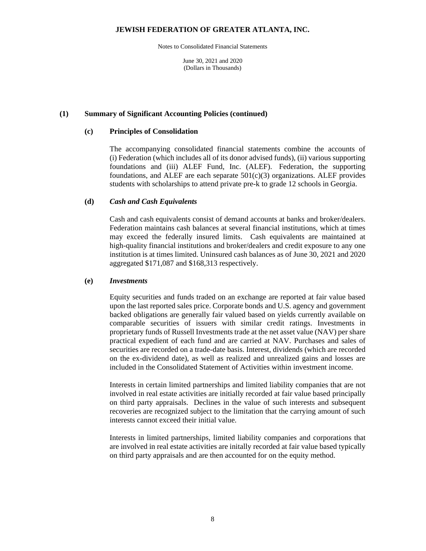Notes to Consolidated Financial Statements

June 30, 2021 and 2020 (Dollars in Thousands)

#### **(1) Summary of Significant Accounting Policies (continued)**

#### **(c) Principles of Consolidation**

The accompanying consolidated financial statements combine the accounts of (i) Federation (which includes all of its donor advised funds), (ii) various supporting foundations and (iii) ALEF Fund, Inc. (ALEF). Federation, the supporting foundations, and ALEF are each separate  $501(c)(3)$  organizations. ALEF provides students with scholarships to attend private pre-k to grade 12 schools in Georgia.

#### **(d)** *Cash and Cash Equivalents*

Cash and cash equivalents consist of demand accounts at banks and broker/dealers. Federation maintains cash balances at several financial institutions, which at times may exceed the federally insured limits. Cash equivalents are maintained at high-quality financial institutions and broker/dealers and credit exposure to any one institution is at times limited. Uninsured cash balances as of June 30, 2021 and 2020 aggregated \$171,087 and \$168,313 respectively.

#### **(e)** *Investments*

Equity securities and funds traded on an exchange are reported at fair value based upon the last reported sales price. Corporate bonds and U.S. agency and government backed obligations are generally fair valued based on yields currently available on comparable securities of issuers with similar credit ratings. Investments in proprietary funds of Russell Investments trade at the net asset value (NAV) per share practical expedient of each fund and are carried at NAV. Purchases and sales of securities are recorded on a trade-date basis. Interest, dividends (which are recorded on the ex-dividend date), as well as realized and unrealized gains and losses are included in the Consolidated Statement of Activities within investment income.

Interests in certain limited partnerships and limited liability companies that are not involved in real estate activities are initially recorded at fair value based principally on third party appraisals. Declines in the value of such interests and subsequent recoveries are recognized subject to the limitation that the carrying amount of such interests cannot exceed their initial value.

Interests in limited partnerships, limited liability companies and corporations that are involved in real estate activities are initally recorded at fair value based typically on third party appraisals and are then accounted for on the equity method.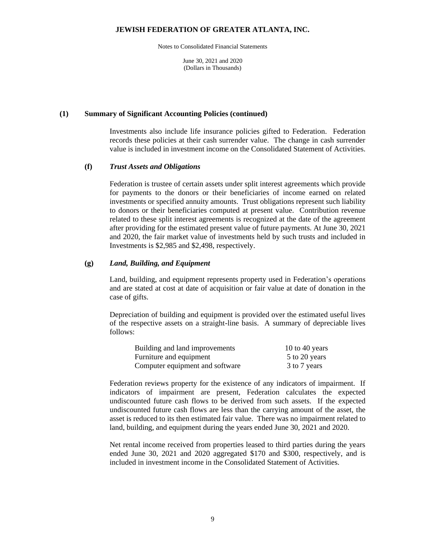Notes to Consolidated Financial Statements

June 30, 2021 and 2020 (Dollars in Thousands)

#### **(1) Summary of Significant Accounting Policies (continued)**

Investments also include life insurance policies gifted to Federation. Federation records these policies at their cash surrender value. The change in cash surrender value is included in investment income on the Consolidated Statement of Activities.

#### **(f)** *Trust Assets and Obligations*

Federation is trustee of certain assets under split interest agreements which provide for payments to the donors or their beneficiaries of income earned on related investments or specified annuity amounts. Trust obligations represent such liability to donors or their beneficiaries computed at present value. Contribution revenue related to these split interest agreements is recognized at the date of the agreement after providing for the estimated present value of future payments. At June 30, 2021 and 2020, the fair market value of investments held by such trusts and included in Investments is \$2,985 and \$2,498, respectively.

#### **(g)** *Land, Building, and Equipment*

Land, building, and equipment represents property used in Federation's operations and are stated at cost at date of acquisition or fair value at date of donation in the case of gifts.

Depreciation of building and equipment is provided over the estimated useful lives of the respective assets on a straight-line basis. A summary of depreciable lives follows:

| Building and land improvements  | 10 to 40 years |
|---------------------------------|----------------|
| Furniture and equipment         | 5 to 20 years  |
| Computer equipment and software | 3 to 7 years   |

Federation reviews property for the existence of any indicators of impairment. If indicators of impairment are present, Federation calculates the expected undiscounted future cash flows to be derived from such assets. If the expected undiscounted future cash flows are less than the carrying amount of the asset, the asset is reduced to its then estimated fair value. There was no impairment related to land, building, and equipment during the years ended June 30, 2021 and 2020.

Net rental income received from properties leased to third parties during the years ended June 30, 2021 and 2020 aggregated \$170 and \$300, respectively, and is included in investment income in the Consolidated Statement of Activities.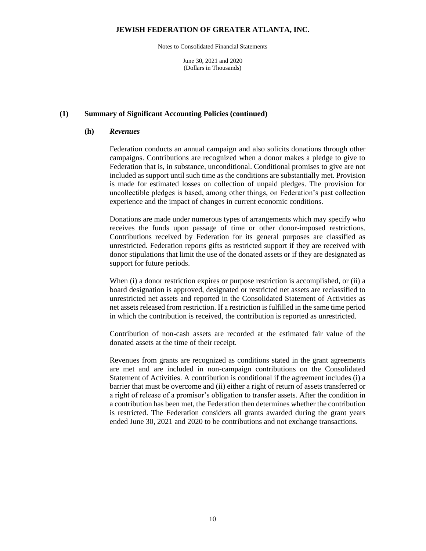Notes to Consolidated Financial Statements

June 30, 2021 and 2020 (Dollars in Thousands)

#### **(1) Summary of Significant Accounting Policies (continued)**

#### **(h)** *Revenues*

Federation conducts an annual campaign and also solicits donations through other campaigns. Contributions are recognized when a donor makes a pledge to give to Federation that is, in substance, unconditional. Conditional promises to give are not included as support until such time as the conditions are substantially met. Provision is made for estimated losses on collection of unpaid pledges. The provision for uncollectible pledges is based, among other things, on Federation's past collection experience and the impact of changes in current economic conditions.

Donations are made under numerous types of arrangements which may specify who receives the funds upon passage of time or other donor-imposed restrictions. Contributions received by Federation for its general purposes are classified as unrestricted. Federation reports gifts as restricted support if they are received with donor stipulations that limit the use of the donated assets or if they are designated as support for future periods.

When (i) a donor restriction expires or purpose restriction is accomplished, or (ii) a board designation is approved, designated or restricted net assets are reclassified to unrestricted net assets and reported in the Consolidated Statement of Activities as net assets released from restriction. If a restriction is fulfilled in the same time period in which the contribution is received, the contribution is reported as unrestricted.

Contribution of non-cash assets are recorded at the estimated fair value of the donated assets at the time of their receipt.

Revenues from grants are recognized as conditions stated in the grant agreements are met and are included in non-campaign contributions on the Consolidated Statement of Activities. A contribution is conditional if the agreement includes (i) a barrier that must be overcome and (ii) either a right of return of assets transferred or a right of release of a promisor's obligation to transfer assets. After the condition in a contribution has been met, the Federation then determines whether the contribution is restricted. The Federation considers all grants awarded during the grant years ended June 30, 2021 and 2020 to be contributions and not exchange transactions.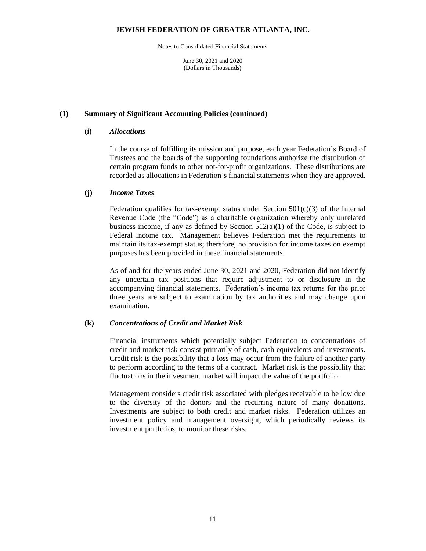Notes to Consolidated Financial Statements

June 30, 2021 and 2020 (Dollars in Thousands)

#### **(1) Summary of Significant Accounting Policies (continued)**

#### **(i)** *Allocations*

In the course of fulfilling its mission and purpose, each year Federation's Board of Trustees and the boards of the supporting foundations authorize the distribution of certain program funds to other not-for-profit organizations. These distributions are recorded as allocations in Federation's financial statements when they are approved.

#### **(j)** *Income Taxes*

Federation qualifies for tax-exempt status under Section  $501(c)(3)$  of the Internal Revenue Code (the "Code") as a charitable organization whereby only unrelated business income, if any as defined by Section 512(a)(1) of the Code, is subject to Federal income tax. Management believes Federation met the requirements to maintain its tax-exempt status; therefore, no provision for income taxes on exempt purposes has been provided in these financial statements.

As of and for the years ended June 30, 2021 and 2020, Federation did not identify any uncertain tax positions that require adjustment to or disclosure in the accompanying financial statements. Federation's income tax returns for the prior three years are subject to examination by tax authorities and may change upon examination.

#### **(k)** *Concentrations of Credit and Market Risk*

Financial instruments which potentially subject Federation to concentrations of credit and market risk consist primarily of cash, cash equivalents and investments. Credit risk is the possibility that a loss may occur from the failure of another party to perform according to the terms of a contract. Market risk is the possibility that fluctuations in the investment market will impact the value of the portfolio.

Management considers credit risk associated with pledges receivable to be low due to the diversity of the donors and the recurring nature of many donations. Investments are subject to both credit and market risks. Federation utilizes an investment policy and management oversight, which periodically reviews its investment portfolios, to monitor these risks.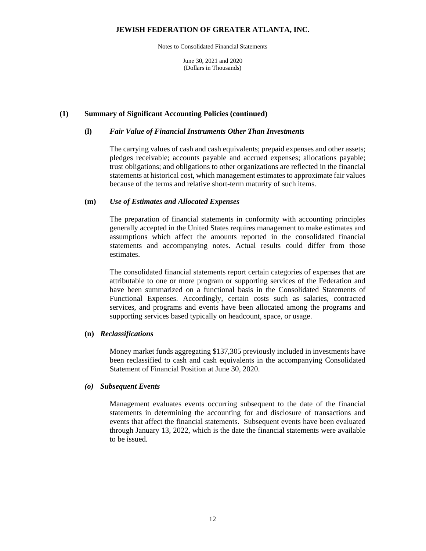Notes to Consolidated Financial Statements

June 30, 2021 and 2020 (Dollars in Thousands)

#### **(1) Summary of Significant Accounting Policies (continued)**

#### **(l)** *Fair Value of Financial Instruments Other Than Investments*

The carrying values of cash and cash equivalents; prepaid expenses and other assets; pledges receivable; accounts payable and accrued expenses; allocations payable; trust obligations; and obligations to other organizations are reflected in the financial statements at historical cost, which management estimates to approximate fair values because of the terms and relative short-term maturity of such items.

#### **(m)** *Use of Estimates and Allocated Expenses*

The preparation of financial statements in conformity with accounting principles generally accepted in the United States requires management to make estimates and assumptions which affect the amounts reported in the consolidated financial statements and accompanying notes. Actual results could differ from those estimates.

The consolidated financial statements report certain categories of expenses that are attributable to one or more program or supporting services of the Federation and have been summarized on a functional basis in the Consolidated Statements of Functional Expenses. Accordingly, certain costs such as salaries, contracted services, and programs and events have been allocated among the programs and supporting services based typically on headcount, space, or usage.

#### **(n)** *Reclassifications*

Money market funds aggregating \$137,305 previously included in investments have been reclassified to cash and cash equivalents in the accompanying Consolidated Statement of Financial Position at June 30, 2020.

#### *(o) Subsequent Events*

Management evaluates events occurring subsequent to the date of the financial statements in determining the accounting for and disclosure of transactions and events that affect the financial statements. Subsequent events have been evaluated through January 13, 2022, which is the date the financial statements were available to be issued.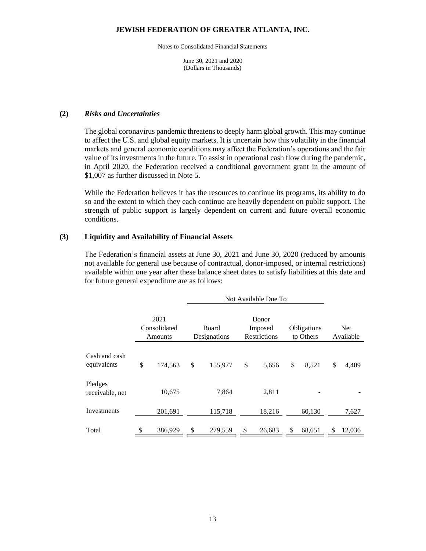Notes to Consolidated Financial Statements

June 30, 2021 and 2020 (Dollars in Thousands)

#### **(2)** *Risks and Uncertainties*

The global coronavirus pandemic threatens to deeply harm global growth. This may continue to affect the U.S. and global equity markets. It is uncertain how this volatility in the financial markets and general economic conditions may affect the Federation's operations and the fair value of its investments in the future. To assist in operational cash flow during the pandemic, in April 2020, the Federation received a conditional government grant in the amount of \$1,007 as further discussed in Note 5.

While the Federation believes it has the resources to continue its programs, its ability to do so and the extent to which they each continue are heavily dependent on public support. The strength of public support is largely dependent on current and future overall economic conditions.

#### **(3) Liquidity and Availability of Financial Assets**

The Federation's financial assets at June 30, 2021 and June 30, 2020 (reduced by amounts not available for general use because of contractual, donor-imposed, or internal restrictions) available within one year after these balance sheet dates to satisfy liabilities at this date and for future general expenditure are as follows:

|                                 |    |         |    | Not Available Due To  |                                  |    |                          |                         |        |  |
|---------------------------------|----|---------|----|-----------------------|----------------------------------|----|--------------------------|-------------------------|--------|--|
| 2021<br>Consolidated<br>Amounts |    |         |    | Board<br>Designations | Donor<br>Imposed<br>Restrictions |    | Obligations<br>to Others | <b>Net</b><br>Available |        |  |
| Cash and cash<br>equivalents    | \$ | 174,563 | \$ | 155,977               | \$<br>5,656                      | \$ | 8,521                    | \$                      | 4,409  |  |
| Pledges<br>receivable, net      |    | 10,675  |    | 7,864                 | 2,811                            |    |                          |                         |        |  |
| Investments                     |    | 201,691 |    | 115,718               | 18,216                           |    | 60,130                   |                         | 7,627  |  |
| Total                           | \$ | 386,929 | \$ | 279,559               | \$<br>26,683                     | S  | 68,651                   | \$                      | 12,036 |  |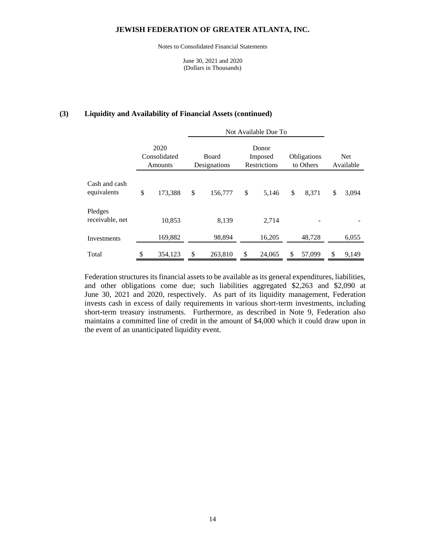Notes to Consolidated Financial Statements

June 30, 2021 and 2020 (Dollars in Thousands)

#### **(3) Liquidity and Availability of Financial Assets (continued)**

|                              |                                 | Not Available Due To  |                                  |        |                          |        |    |                         |
|------------------------------|---------------------------------|-----------------------|----------------------------------|--------|--------------------------|--------|----|-------------------------|
|                              | 2020<br>Consolidated<br>Amounts | Board<br>Designations | Donor<br>Imposed<br>Restrictions |        | Obligations<br>to Others |        |    | <b>Net</b><br>Available |
| Cash and cash<br>equivalents | \$<br>173,388                   | \$<br>156,777         | \$                               | 5,146  | \$                       | 8,371  | \$ | 3,094                   |
| Pledges<br>receivable, net   | 10,853                          | 8,139                 |                                  | 2,714  |                          |        |    |                         |
| Investments                  | 169,882                         | 98,894                |                                  | 16,205 |                          | 48,728 |    | 6,055                   |
| Total                        | \$<br>354.123                   | \$<br>263,810         | \$                               | 24,065 | \$                       | 57,099 | S  | 9,149                   |

Federation structures its financial assets to be available as its general expenditures, liabilities, and other obligations come due; such liabilities aggregated \$2,263 and \$2,090 at June 30, 2021 and 2020, respectively. As part of its liquidity management, Federation invests cash in excess of daily requirements in various short-term investments, including short-term treasury instruments. Furthermore, as described in Note 9, Federation also maintains a committed line of credit in the amount of \$4,000 which it could draw upon in the event of an unanticipated liquidity event.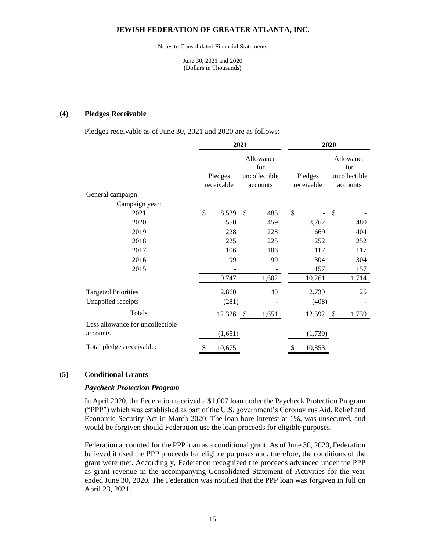Notes to Consolidated Financial Statements

June 30, 2021 and 2020 (Dollars in Thousands)

#### **(4) Pledges Receivable**

Pledges receivable as of June 30, 2021 and 2020 are as follows:

|                                  |                       | 2021 |                                               | 2020 |                       |    |                                               |
|----------------------------------|-----------------------|------|-----------------------------------------------|------|-----------------------|----|-----------------------------------------------|
|                                  | Pledges<br>receivable |      | Allowance<br>for<br>uncollectible<br>accounts |      | Pledges<br>receivable |    | Allowance<br>for<br>uncollectible<br>accounts |
| General campaign:                |                       |      |                                               |      |                       |    |                                               |
| Campaign year:                   |                       |      |                                               |      |                       |    |                                               |
| 2021                             | \$<br>8,539           | \$   | 485                                           | \$   |                       | \$ |                                               |
| 2020                             | 550                   |      | 459                                           |      | 8,762                 |    | 480                                           |
| 2019                             | 228                   |      | 228                                           |      | 669                   |    | 404                                           |
| 2018                             | 225                   |      | 225                                           |      | 252                   |    | 252                                           |
| 2017                             | 106                   |      | 106                                           |      | 117                   |    | 117                                           |
| 2016                             | 99                    |      | 99                                            |      | 304                   |    | 304                                           |
| 2015                             |                       |      |                                               |      | 157                   |    | 157                                           |
|                                  | 9,747                 |      | 1,602                                         |      | 10,261                |    | 1,714                                         |
| <b>Targeted Priorities</b>       | 2,860                 |      | 49                                            |      | 2,739                 |    | 25                                            |
| Unapplied receipts               | (281)                 |      |                                               |      | (408)                 |    |                                               |
| <b>Totals</b>                    | 12,326                | \$   | 1,651                                         |      | 12,592                | \$ | 1,739                                         |
| Less allowance for uncollectible |                       |      |                                               |      |                       |    |                                               |
| accounts                         | (1,651)               |      |                                               |      | (1,739)               |    |                                               |
| Total pledges receivable:        | \$<br>10,675          |      |                                               | \$   | 10,853                |    |                                               |

#### **(5) Conditional Grants**

#### *Paycheck Protection Program*

In April 2020, the Federation received a \$1,007 loan under the Paycheck Protection Program ("PPP") which was established as part of the U.S. government's Coronavirus Aid, Relief and Economic Security Act in March 2020. The loan bore interest at 1%, was unsecured, and would be forgiven should Federation use the loan proceeds for eligible purposes.

Federation accounted for the PPP loan as a conditional grant. As of June 30, 2020, Federation believed it used the PPP proceeds for eligible purposes and, therefore, the conditions of the grant were met. Accordingly, Federation recognized the proceeds advanced under the PPP as grant revenue in the accompanying Consolidated Statement of Activities for the year ended June 30, 2020. The Federation was notified that the PPP loan was forgiven in full on April 23, 2021.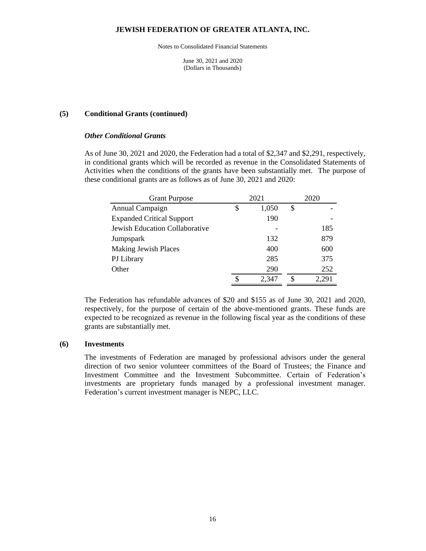Notes to Consolidated Financial Statements

June 30, 2021 and 2020 (Dollars in Thousands)

#### **(5) Conditional Grants (continued)**

#### *Other Conditional Grants*

As of June 30, 2021 and 2020, the Federation had a total of \$2,347 and \$2,291, respectively, in conditional grants which will be recorded as revenue in the Consolidated Statements of Activities when the conditions of the grants have been substantially met. The purpose of these conditional grants are as follows as of June 30, 2021 and 2020:

| <b>Grant Purpose</b>             | 2021        |    | 2020 |  |  |  |
|----------------------------------|-------------|----|------|--|--|--|
| Annual Campaign                  | \$<br>1,050 | \$ |      |  |  |  |
| <b>Expanded Critical Support</b> | 190         |    |      |  |  |  |
| Jewish Education Collaborative   |             |    | 185  |  |  |  |
| Jumpspark                        | 132         |    | 879  |  |  |  |
| <b>Making Jewish Places</b>      | 400         |    | 600  |  |  |  |
| PJ Library                       | 285         |    | 375  |  |  |  |
| Other                            | 290         |    | 252  |  |  |  |
|                                  | \$<br>2,347 | S  |      |  |  |  |

The Federation has refundable advances of \$20 and \$155 as of June 30, 2021 and 2020, respectively, for the purpose of certain of the above-mentioned grants. These funds are expected to be recognized as revenue in the following fiscal year as the conditions of these grants are substantially met.

#### **(6) Investments**

The investments of Federation are managed by professional advisors under the general direction of two senior volunteer committees of the Board of Trustees; the Finance and Investment Committee and the Investment Subcommittee. Certain of Federation's investments are proprietary funds managed by a professional investment manager. Federation's current investment manager is NEPC, LLC.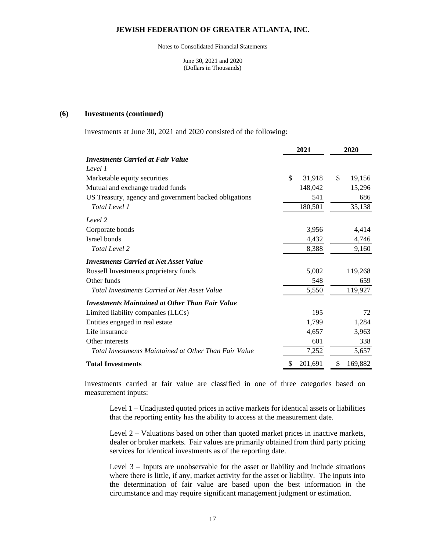Notes to Consolidated Financial Statements

June 30, 2021 and 2020 (Dollars in Thousands)

#### **(6) Investments (continued)**

Investments at June 30, 2021 and 2020 consisted of the following:

|                                                        | 2021          | 2020          |  |
|--------------------------------------------------------|---------------|---------------|--|
| <b>Investments Carried at Fair Value</b>               |               |               |  |
| Level 1                                                |               |               |  |
| Marketable equity securities                           | \$<br>31,918  | \$<br>19,156  |  |
| Mutual and exchange traded funds                       | 148,042       | 15,296        |  |
| US Treasury, agency and government backed obligations  | 541           | 686           |  |
| Total Level 1                                          | 180,501       | 35,138        |  |
| Level 2                                                |               |               |  |
| Corporate bonds                                        | 3,956         | 4,414         |  |
| Israel bonds                                           | 4,432         | 4,746         |  |
| Total Level 2                                          | 8,388         | 9,160         |  |
| <b>Investments Carried at Net Asset Value</b>          |               |               |  |
| Russell Investments proprietary funds                  | 5,002         | 119,268       |  |
| Other funds                                            | 548           | 659           |  |
| <b>Total Investments Carried at Net Asset Value</b>    | 5,550         | 119,927       |  |
| <b>Investments Maintained at Other Than Fair Value</b> |               |               |  |
| Limited liability companies (LLCs)                     | 195           | 72            |  |
| Entities engaged in real estate                        | 1,799         | 1,284         |  |
| Life insurance                                         | 4,657         | 3,963         |  |
| Other interests                                        | 601           | 338           |  |
| Total Investments Maintained at Other Than Fair Value  | 7,252         | 5,657         |  |
| <b>Total Investments</b>                               | \$<br>201,691 | \$<br>169,882 |  |

Investments carried at fair value are classified in one of three categories based on measurement inputs:

Level 1 – Unadjusted quoted prices in active markets for identical assets or liabilities that the reporting entity has the ability to access at the measurement date.

Level 2 – Valuations based on other than quoted market prices in inactive markets, dealer or broker markets. Fair values are primarily obtained from third party pricing services for identical investments as of the reporting date.

Level 3 – Inputs are unobservable for the asset or liability and include situations where there is little, if any, market activity for the asset or liability. The inputs into the determination of fair value are based upon the best information in the circumstance and may require significant management judgment or estimation.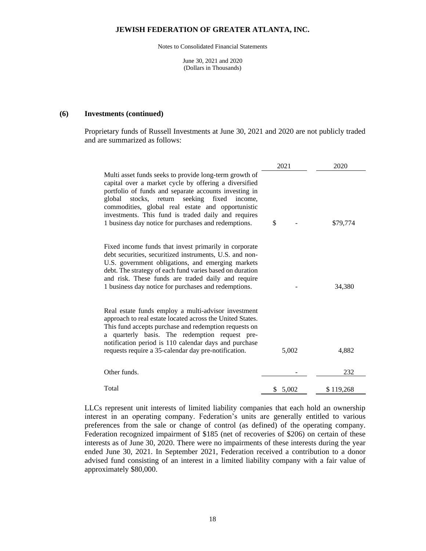Notes to Consolidated Financial Statements

June 30, 2021 and 2020 (Dollars in Thousands)

#### **(6) Investments (continued)**

Proprietary funds of Russell Investments at June 30, 2021 and 2020 are not publicly traded and are summarized as follows:

|                                                                                                                                                                                                                                                                                                                                                                                                   | 2021    | 2020      |
|---------------------------------------------------------------------------------------------------------------------------------------------------------------------------------------------------------------------------------------------------------------------------------------------------------------------------------------------------------------------------------------------------|---------|-----------|
| Multi asset funds seeks to provide long-term growth of<br>capital over a market cycle by offering a diversified<br>portfolio of funds and separate accounts investing in<br>global stocks, return<br>seeking fixed<br>income,<br>commodities, global real estate and opportunistic<br>investments. This fund is traded daily and requires<br>1 business day notice for purchases and redemptions. | \$      | \$79,774  |
| Fixed income funds that invest primarily in corporate<br>debt securities, securitized instruments, U.S. and non-<br>U.S. government obligations, and emerging markets<br>debt. The strategy of each fund varies based on duration<br>and risk. These funds are traded daily and require<br>1 business day notice for purchases and redemptions.                                                   |         | 34,380    |
| Real estate funds employ a multi-advisor investment<br>approach to real estate located across the United States.<br>This fund accepts purchase and redemption requests on<br>a quarterly basis. The redemption request pre-<br>notification period is 110 calendar days and purchase<br>requests require a 35-calendar day pre-notification.                                                      | 5,002   | 4,882     |
| Other funds.                                                                                                                                                                                                                                                                                                                                                                                      |         | 232       |
| Total                                                                                                                                                                                                                                                                                                                                                                                             | \$5,002 | \$119,268 |

LLCs represent unit interests of limited liability companies that each hold an ownership interest in an operating company. Federation's units are generally entitled to various preferences from the sale or change of control (as defined) of the operating company. Federation recognized impairment of \$185 (net of recoveries of \$206) on certain of these interests as of June 30, 2020. There were no impairments of these interests during the year ended June 30, 2021. In September 2021, Federation received a contribution to a donor advised fund consisting of an interest in a limited liability company with a fair value of approximately \$80,000.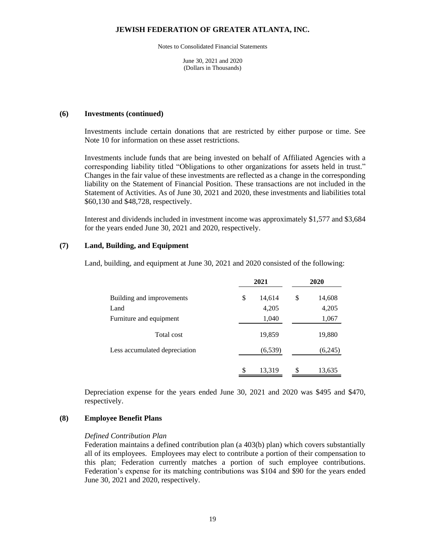Notes to Consolidated Financial Statements

June 30, 2021 and 2020 (Dollars in Thousands)

#### **(6) Investments (continued)**

Investments include certain donations that are restricted by either purpose or time. See Note 10 for information on these asset restrictions.

Investments include funds that are being invested on behalf of Affiliated Agencies with a corresponding liability titled "Obligations to other organizations for assets held in trust." Changes in the fair value of these investments are reflected as a change in the corresponding liability on the Statement of Financial Position. These transactions are not included in the Statement of Activities. As of June 30, 2021 and 2020, these investments and liabilities total \$60,130 and \$48,728, respectively.

Interest and dividends included in investment income was approximately \$1,577 and \$3,684 for the years ended June 30, 2021 and 2020, respectively.

#### **(7) Land, Building, and Equipment**

Land, building, and equipment at June 30, 2021 and 2020 consisted of the following:

|                               | 2021         | 2020         |
|-------------------------------|--------------|--------------|
| Building and improvements     | \$<br>14,614 | \$<br>14,608 |
| Land                          | 4,205        | 4,205        |
| Furniture and equipment       | 1,040        | 1,067        |
| Total cost                    | 19,859       | 19,880       |
| Less accumulated depreciation | (6, 539)     | (6,245)      |
|                               | \$<br>13,319 | \$<br>13,635 |

Depreciation expense for the years ended June 30, 2021 and 2020 was \$495 and \$470, respectively.

#### **(8) Employee Benefit Plans**

#### *Defined Contribution Plan*

Federation maintains a defined contribution plan (a 403(b) plan) which covers substantially all of its employees. Employees may elect to contribute a portion of their compensation to this plan; Federation currently matches a portion of such employee contributions. Federation's expense for its matching contributions was \$104 and \$90 for the years ended June 30, 2021 and 2020, respectively.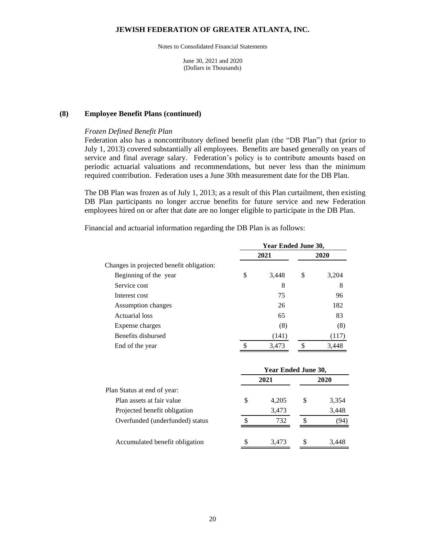Notes to Consolidated Financial Statements

June 30, 2021 and 2020 (Dollars in Thousands)

#### **(8) Employee Benefit Plans (continued)**

#### *Frozen Defined Benefit Plan*

Federation also has a noncontributory defined benefit plan (the "DB Plan") that (prior to July 1, 2013) covered substantially all employees. Benefits are based generally on years of service and final average salary. Federation's policy is to contribute amounts based on periodic actuarial valuations and recommendations, but never less than the minimum required contribution. Federation uses a June 30th measurement date for the DB Plan.

The DB Plan was frozen as of July 1, 2013; as a result of this Plan curtailment, then existing DB Plan participants no longer accrue benefits for future service and new Federation employees hired on or after that date are no longer eligible to participate in the DB Plan.

Financial and actuarial information regarding the DB Plan is as follows:

|                                          | Year Ended June 30, |       |    |       |  |
|------------------------------------------|---------------------|-------|----|-------|--|
|                                          |                     | 2021  |    | 2020  |  |
| Changes in projected benefit obligation: |                     |       |    |       |  |
| Beginning of the year                    | \$                  | 3,448 | \$ | 3,204 |  |
| Service cost                             |                     | 8     |    | 8     |  |
| Interest cost                            |                     | 75    |    | 96    |  |
| Assumption changes                       |                     | 26    |    | 182   |  |
| Actuarial loss                           |                     | 65    |    | 83    |  |
| Expense charges                          |                     | (8)   |    | (8)   |  |
| Benefits disbursed                       |                     | (141) |    | (117) |  |
| End of the year                          |                     | 3,473 |    | 3,448 |  |

|                                 | Year Ended June 30, |       |   |       |
|---------------------------------|---------------------|-------|---|-------|
|                                 |                     | 2021  |   | 2020  |
| Plan Status at end of year:     |                     |       |   |       |
| Plan assets at fair value       | S                   | 4,205 | S | 3,354 |
| Projected benefit obligation    |                     | 3,473 |   | 3,448 |
| Overfunded (underfunded) status | S                   | 732   | S | '94   |
| Accumulated benefit obligation  |                     | 3.473 |   | 3.448 |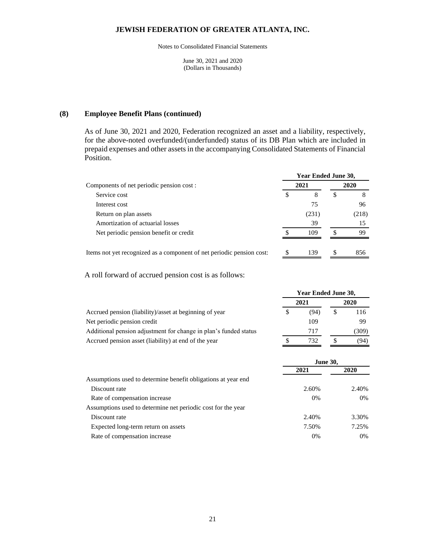Notes to Consolidated Financial Statements

June 30, 2021 and 2020 (Dollars in Thousands)

#### **(8) Employee Benefit Plans (continued)**

As of June 30, 2021 and 2020, Federation recognized an asset and a liability, respectively, for the above-noted overfunded/(underfunded) status of its DB Plan which are included in prepaid expenses and other assets in the accompanying Consolidated Statements of Financial Position.

|                                                                                                                                                                                                                               |             | Year Ended June 30, |             |                  |  |
|-------------------------------------------------------------------------------------------------------------------------------------------------------------------------------------------------------------------------------|-------------|---------------------|-------------|------------------|--|
| Components of net periodic pension cost :                                                                                                                                                                                     |             | 2021                |             | 2020             |  |
| Service cost                                                                                                                                                                                                                  | S           | 8                   | S           |                  |  |
| Interest cost                                                                                                                                                                                                                 |             | 75                  |             | 96               |  |
| Return on plan assets                                                                                                                                                                                                         |             | (231)               |             | (218)            |  |
| Amortization of actuarial losses                                                                                                                                                                                              |             | 39                  |             | 15               |  |
| Net periodic pension benefit or credit                                                                                                                                                                                        |             | 109                 |             | 99               |  |
| The second comparison of the compact of the companion of the second of the second compact of the second comparison of the second comparison of the second comparison of the second comparison of the second comparison of the | $\triangle$ | 120                 | $\triangle$ | 0.5 <sub>c</sub> |  |

Items not yet recognized as a component of net periodic pension cost: \$ 139 \$ 856

A roll forward of accrued pension cost is as follows:

|                                                                  |  | 2021 | 2020 |      |
|------------------------------------------------------------------|--|------|------|------|
| Accrued pension (liability)/asset at beginning of year           |  | (94) |      | 116  |
| Net periodic pension credit                                      |  | 109  |      | 99   |
| Additional pension adjustment for change in plan's funded status |  | 717  |      | 309) |
| Accrued pension asset (liability) at end of the year             |  | 732  |      | (94) |
|                                                                  |  |      |      |      |

**Year Ended June 30,**

|                                                                | <b>June 30,</b> |       |  |
|----------------------------------------------------------------|-----------------|-------|--|
|                                                                | 2021            | 2020  |  |
| Assumptions used to determine benefit obligations at year end. |                 |       |  |
| Discount rate                                                  | 2.60%           | 2.40% |  |
| Rate of compensation increase                                  | 0%              | $0\%$ |  |
| Assumptions used to determine net periodic cost for the year   |                 |       |  |
| Discount rate                                                  | 2.40%           | 3.30% |  |
| Expected long-term return on assets                            | 7.50%           | 7.25% |  |
| Rate of compensation increase                                  | 0%              | $0\%$ |  |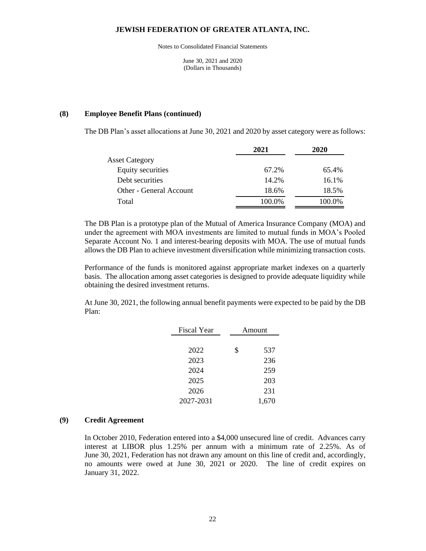Notes to Consolidated Financial Statements

June 30, 2021 and 2020 (Dollars in Thousands)

#### **(8) Employee Benefit Plans (continued)**

The DB Plan's asset allocations at June 30, 2021 and 2020 by asset category were as follows:

|                         | 2021   | 2020   |
|-------------------------|--------|--------|
| <b>Asset Category</b>   |        |        |
| Equity securities       | 67.2%  | 65.4%  |
| Debt securities         | 14.2%  | 16.1%  |
| Other - General Account | 18.6%  | 18.5%  |
| Total                   | 100.0% | 100.0% |

The DB Plan is a prototype plan of the Mutual of America Insurance Company (MOA) and under the agreement with MOA investments are limited to mutual funds in MOA's Pooled Separate Account No. 1 and interest-bearing deposits with MOA. The use of mutual funds allows the DB Plan to achieve investment diversification while minimizing transaction costs.

Performance of the funds is monitored against appropriate market indexes on a quarterly basis. The allocation among asset categories is designed to provide adequate liquidity while obtaining the desired investment returns.

At June 30, 2021, the following annual benefit payments were expected to be paid by the DB Plan:

| <b>Fiscal Year</b> | Amount    |  |  |
|--------------------|-----------|--|--|
|                    |           |  |  |
| 2022               | \$<br>537 |  |  |
| 2023               | 236       |  |  |
| 2024               | 259       |  |  |
| 2025               | 203       |  |  |
| 2026               | 231       |  |  |
| 2027-2031          | 1,670     |  |  |

#### **(9) Credit Agreement**

In October 2010, Federation entered into a \$4,000 unsecured line of credit. Advances carry interest at LIBOR plus 1.25% per annum with a minimum rate of 2.25%. As of June 30, 2021, Federation has not drawn any amount on this line of credit and, accordingly, no amounts were owed at June 30, 2021 or 2020. The line of credit expires on January 31, 2022.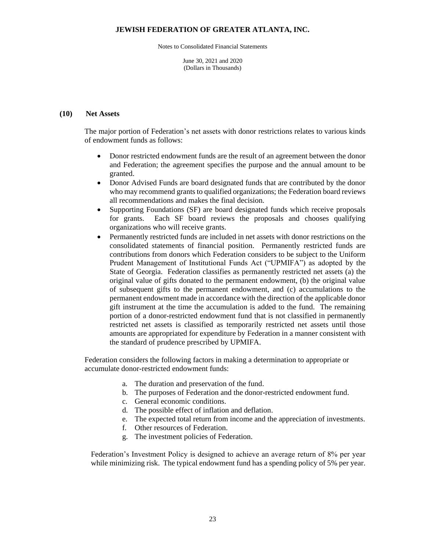Notes to Consolidated Financial Statements

June 30, 2021 and 2020 (Dollars in Thousands)

#### **(10) Net Assets**

The major portion of Federation's net assets with donor restrictions relates to various kinds of endowment funds as follows:

- Donor restricted endowment funds are the result of an agreement between the donor and Federation; the agreement specifies the purpose and the annual amount to be granted.
- Donor Advised Funds are board designated funds that are contributed by the donor who may recommend grants to qualified organizations; the Federation board reviews all recommendations and makes the final decision.
- Supporting Foundations (SF) are board designated funds which receive proposals for grants. Each SF board reviews the proposals and chooses qualifying organizations who will receive grants.
- Permanently restricted funds are included in net assets with donor restrictions on the consolidated statements of financial position. Permanently restricted funds are contributions from donors which Federation considers to be subject to the Uniform Prudent Management of Institutional Funds Act ("UPMIFA") as adopted by the State of Georgia. Federation classifies as permanently restricted net assets (a) the original value of gifts donated to the permanent endowment, (b) the original value of subsequent gifts to the permanent endowment, and (c) accumulations to the permanent endowment made in accordance with the direction of the applicable donor gift instrument at the time the accumulation is added to the fund. The remaining portion of a donor-restricted endowment fund that is not classified in permanently restricted net assets is classified as temporarily restricted net assets until those amounts are appropriated for expenditure by Federation in a manner consistent with the standard of prudence prescribed by UPMIFA.

Federation considers the following factors in making a determination to appropriate or accumulate donor-restricted endowment funds:

- a. The duration and preservation of the fund.
- b. The purposes of Federation and the donor-restricted endowment fund.
- c. General economic conditions.
- d. The possible effect of inflation and deflation.
- e. The expected total return from income and the appreciation of investments.
- f. Other resources of Federation.
- g. The investment policies of Federation.

Federation's Investment Policy is designed to achieve an average return of 8% per year while minimizing risk. The typical endowment fund has a spending policy of 5% per year.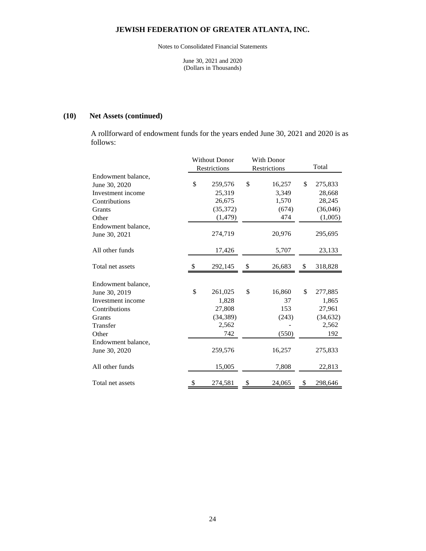Notes to Consolidated Financial Statements

June 30, 2021 and 2020 (Dollars in Thousands)

## **(10) Net Assets (continued)**

A rollforward of endowment funds for the years ended June 30, 2021 and 2020 is as follows:

|                    |               | <b>Without Donor</b> |              | With Donor |       |           |
|--------------------|---------------|----------------------|--------------|------------|-------|-----------|
|                    |               | Restrictions         | Restrictions |            | Total |           |
| Endowment balance, |               |                      |              |            |       |           |
| June 30, 2020      | \$            | 259,576              | \$           | 16,257     | \$    | 275,833   |
| Investment income  |               | 25,319               |              | 3,349      |       | 28,668    |
| Contributions      |               | 26,675               |              | 1,570      |       | 28,245    |
| Grants             |               | (35,372)             |              | (674)      |       | (36,046)  |
| Other              |               | (1, 479)             |              | 474        |       | (1,005)   |
| Endowment balance, |               |                      |              |            |       |           |
| June 30, 2021      |               | 274,719              |              | 20,976     |       | 295,695   |
| All other funds    |               | 17,426               |              | 5,707      |       | 23,133    |
| Total net assets   | <sup>\$</sup> | 292,145              | \$           | 26,683     | \$    | 318,828   |
| Endowment balance, |               |                      |              |            |       |           |
| June 30, 2019      | \$            | 261,025              | \$           | 16,860     | \$    | 277,885   |
| Investment income  |               | 1,828                |              | 37         |       | 1,865     |
| Contributions      |               | 27,808               |              | 153        |       | 27,961    |
| Grants             |               | (34, 389)            |              | (243)      |       | (34, 632) |
| Transfer           |               | 2,562                |              |            |       | 2,562     |
| Other              |               | 742                  |              | (550)      |       | 192       |
| Endowment balance, |               |                      |              |            |       |           |
| June 30, 2020      |               | 259,576              |              | 16,257     |       | 275,833   |
| All other funds    |               | 15,005               |              | 7,808      |       | 22,813    |
| Total net assets   | \$            | 274,581              | \$           | 24,065     | \$    | 298,646   |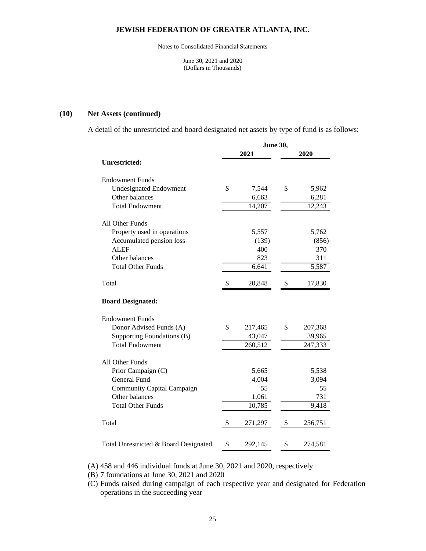Notes to Consolidated Financial Statements

June 30, 2021 and 2020 (Dollars in Thousands)

#### **(10) Net Assets (continued)**

A detail of the unrestricted and board designated net assets by type of fund is as follows:

|                                       | <b>June 30,</b> |         |    |         |
|---------------------------------------|-----------------|---------|----|---------|
|                                       |                 | 2021    |    | 2020    |
| Unrestricted:                         |                 |         |    |         |
| <b>Endowment Funds</b>                |                 |         |    |         |
| <b>Undesignated Endowment</b>         | \$              | 7,544   | \$ | 5,962   |
| Other balances                        |                 | 6,663   |    | 6,281   |
| <b>Total Endowment</b>                |                 | 14,207  |    | 12,243  |
| All Other Funds                       |                 |         |    |         |
| Property used in operations           |                 | 5,557   |    | 5,762   |
| Accumulated pension loss              |                 | (139)   |    | (856)   |
| <b>ALEF</b>                           |                 | 400     |    | 370     |
| Other balances                        |                 | 823     |    | 311     |
| <b>Total Other Funds</b>              |                 | 6,641   |    | 5,587   |
| Total                                 | \$              | 20,848  | \$ | 17,830  |
| <b>Board Designated:</b>              |                 |         |    |         |
| <b>Endowment Funds</b>                |                 |         |    |         |
| Donor Advised Funds (A)               | \$              | 217,465 | \$ | 207,368 |
| Supporting Foundations (B)            |                 | 43,047  |    | 39,965  |
| <b>Total Endowment</b>                |                 | 260,512 |    | 247,333 |
| All Other Funds                       |                 |         |    |         |
| Prior Campaign (C)                    |                 | 5,665   |    | 5,538   |
| <b>General Fund</b>                   |                 | 4,004   |    | 3,094   |
| Community Capital Campaign            |                 | 55      |    | 55      |
| Other balances                        |                 | 1,061   |    | 731     |
| <b>Total Other Funds</b>              |                 | 10,785  |    | 9,418   |
| Total                                 | \$              | 271,297 | \$ | 256,751 |
| Total Unrestricted & Board Designated | \$              | 292,145 | \$ | 274,581 |

(A) 458 and 446 individual funds at June 30, 2021 and 2020, respectively

(B) 7 foundations at June 30, 2021 and 2020

(C) Funds raised during campaign of each respective year and designated for Federation operations in the succeeding year